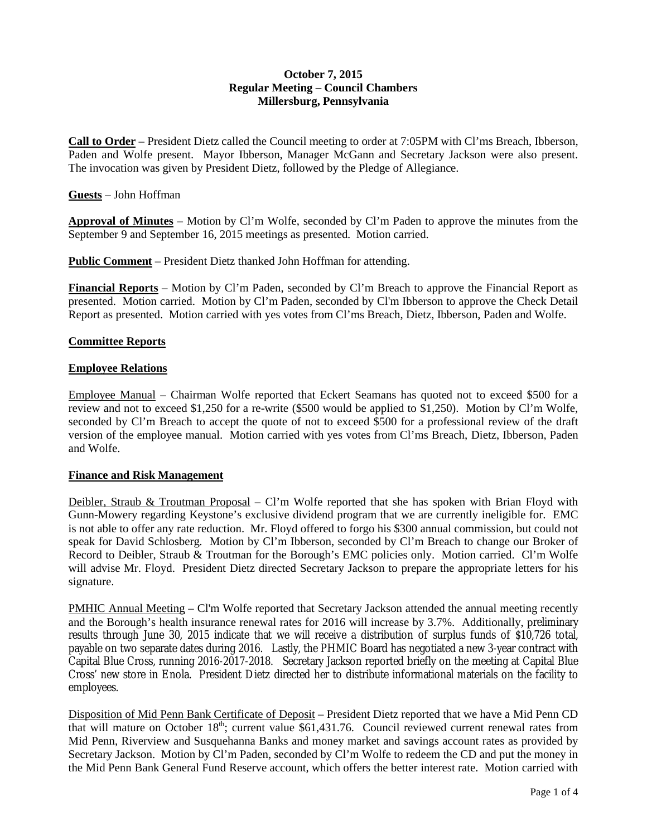# **October 7, 2015 Regular Meeting – Council Chambers Millersburg, Pennsylvania**

**Call to Order** – President Dietz called the Council meeting to order at 7:05PM with Cl'ms Breach, Ibberson, Paden and Wolfe present. Mayor Ibberson, Manager McGann and Secretary Jackson were also present. The invocation was given by President Dietz, followed by the Pledge of Allegiance.

### **Guests** – John Hoffman

**Approval of Minutes** – Motion by Cl'm Wolfe, seconded by Cl'm Paden to approve the minutes from the September 9 and September 16, 2015 meetings as presented. Motion carried.

**Public Comment** – President Dietz thanked John Hoffman for attending.

**Financial Reports** – Motion by Cl'm Paden, seconded by Cl'm Breach to approve the Financial Report as presented. Motion carried. Motion by Cl'm Paden, seconded by Cl'm Ibberson to approve the Check Detail Report as presented. Motion carried with yes votes from Cl'ms Breach, Dietz, Ibberson, Paden and Wolfe.

# **Committee Reports**

# **Employee Relations**

Employee Manual – Chairman Wolfe reported that Eckert Seamans has quoted not to exceed \$500 for a review and not to exceed \$1,250 for a re-write (\$500 would be applied to \$1,250). Motion by Cl'm Wolfe, seconded by Cl'm Breach to accept the quote of not to exceed \$500 for a professional review of the draft version of the employee manual. Motion carried with yes votes from Cl'ms Breach, Dietz, Ibberson, Paden and Wolfe.

#### **Finance and Risk Management**

Deibler, Straub & Troutman Proposal – Cl'm Wolfe reported that she has spoken with Brian Floyd with Gunn-Mowery regarding Keystone's exclusive dividend program that we are currently ineligible for. EMC is not able to offer any rate reduction. Mr. Floyd offered to forgo his \$300 annual commission, but could not speak for David Schlosberg. Motion by Cl'm Ibberson, seconded by Cl'm Breach to change our Broker of Record to Deibler, Straub & Troutman for the Borough's EMC policies only. Motion carried. Cl'm Wolfe will advise Mr. Floyd. President Dietz directed Secretary Jackson to prepare the appropriate letters for his signature.

PMHIC Annual Meeting – Cl'm Wolfe reported that Secretary Jackson attended the annual meeting recently and the Borough's health insurance renewal rates for 2016 will increase by 3.7%. Additionally, preliminary results through June 30, 2015 indicate that we will receive a distribution of surplus funds of \$10,726 total, payable on two separate dates during 2016. Lastly, the PHMIC Board has negotiated a new 3-year contract with Capital Blue Cross, running 2016-2017-2018. Secretary Jackson reported briefly on the meeting at Capital Blue Cross' new store in Enola. President Dietz directed her to distribute informational materials on the facility to employees.

Disposition of Mid Penn Bank Certificate of Deposit – President Dietz reported that we have a Mid Penn CD that will mature on October  $18<sup>th</sup>$ ; current value \$61,431.76. Council reviewed current renewal rates from Mid Penn, Riverview and Susquehanna Banks and money market and savings account rates as provided by Secretary Jackson. Motion by Cl'm Paden, seconded by Cl'm Wolfe to redeem the CD and put the money in the Mid Penn Bank General Fund Reserve account, which offers the better interest rate. Motion carried with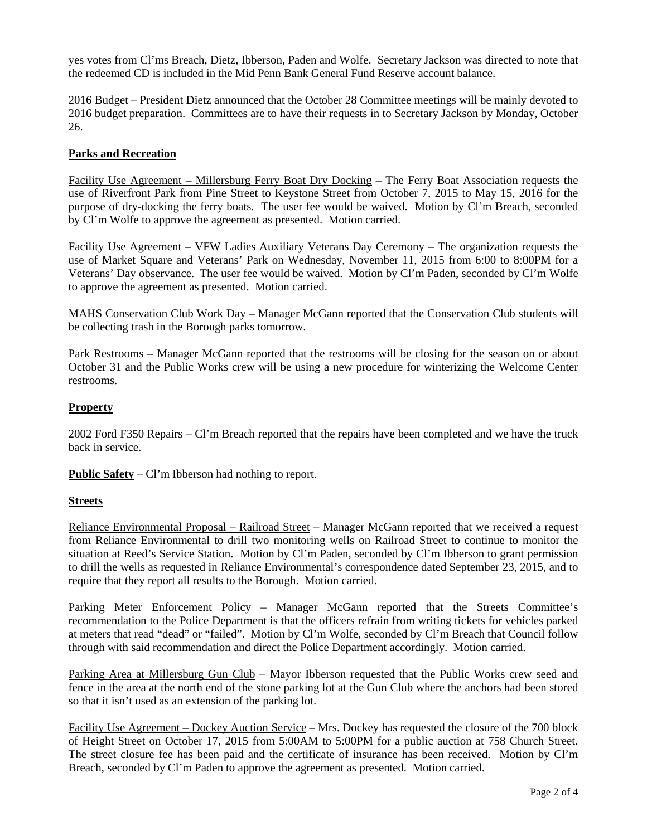yes votes from Cl'ms Breach, Dietz, Ibberson, Paden and Wolfe. Secretary Jackson was directed to note that the redeemed CD is included in the Mid Penn Bank General Fund Reserve account balance.

2016 Budget – President Dietz announced that the October 28 Committee meetings will be mainly devoted to 2016 budget preparation. Committees are to have their requests in to Secretary Jackson by Monday, October 26.

# **Parks and Recreation**

Facility Use Agreement – Millersburg Ferry Boat Dry Docking – The Ferry Boat Association requests the use of Riverfront Park from Pine Street to Keystone Street from October 7, 2015 to May 15, 2016 for the purpose of dry-docking the ferry boats. The user fee would be waived. Motion by Cl'm Breach, seconded by Cl'm Wolfe to approve the agreement as presented. Motion carried.

Facility Use Agreement – VFW Ladies Auxiliary Veterans Day Ceremony – The organization requests the use of Market Square and Veterans' Park on Wednesday, November 11, 2015 from 6:00 to 8:00PM for a Veterans' Day observance. The user fee would be waived. Motion by Cl'm Paden, seconded by Cl'm Wolfe to approve the agreement as presented. Motion carried.

MAHS Conservation Club Work Day - Manager McGann reported that the Conservation Club students will be collecting trash in the Borough parks tomorrow.

Park Restrooms – Manager McGann reported that the restrooms will be closing for the season on or about October 31 and the Public Works crew will be using a new procedure for winterizing the Welcome Center restrooms.

# **Property**

2002 Ford F350 Repairs – Cl'm Breach reported that the repairs have been completed and we have the truck back in service.

**Public Safety** – Cl'm Ibberson had nothing to report.

#### **Streets**

Reliance Environmental Proposal – Railroad Street – Manager McGann reported that we received a request from Reliance Environmental to drill two monitoring wells on Railroad Street to continue to monitor the situation at Reed's Service Station. Motion by Cl'm Paden, seconded by Cl'm Ibberson to grant permission to drill the wells as requested in Reliance Environmental's correspondence dated September 23, 2015, and to require that they report all results to the Borough. Motion carried.

Parking Meter Enforcement Policy – Manager McGann reported that the Streets Committee's recommendation to the Police Department is that the officers refrain from writing tickets for vehicles parked at meters that read "dead" or "failed". Motion by Cl'm Wolfe, seconded by Cl'm Breach that Council follow through with said recommendation and direct the Police Department accordingly. Motion carried.

Parking Area at Millersburg Gun Club – Mayor Ibberson requested that the Public Works crew seed and fence in the area at the north end of the stone parking lot at the Gun Club where the anchors had been stored so that it isn't used as an extension of the parking lot.

Facility Use Agreement – Dockey Auction Service – Mrs. Dockey has requested the closure of the 700 block of Height Street on October 17, 2015 from 5:00AM to 5:00PM for a public auction at 758 Church Street. The street closure fee has been paid and the certificate of insurance has been received. Motion by Cl'm Breach, seconded by Cl'm Paden to approve the agreement as presented. Motion carried.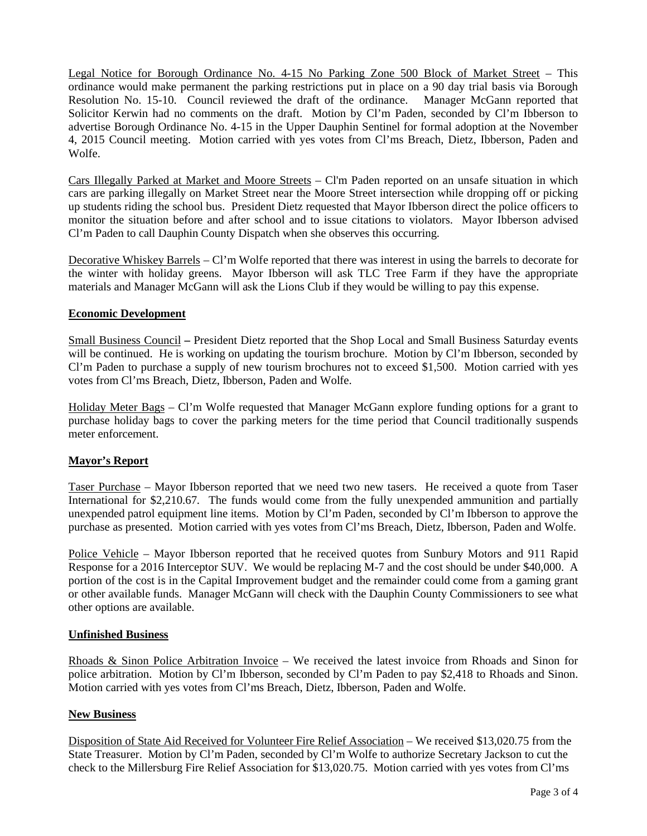Legal Notice for Borough Ordinance No. 4-15 No Parking Zone 500 Block of Market Street – This ordinance would make permanent the parking restrictions put in place on a 90 day trial basis via Borough Resolution No. 15-10. Council reviewed the draft of the ordinance. Manager McGann reported that Solicitor Kerwin had no comments on the draft. Motion by Cl'm Paden, seconded by Cl'm Ibberson to advertise Borough Ordinance No. 4-15 in the Upper Dauphin Sentinel for formal adoption at the November 4, 2015 Council meeting. Motion carried with yes votes from Cl'ms Breach, Dietz, Ibberson, Paden and Wolfe.

Cars Illegally Parked at Market and Moore Streets – Cl'm Paden reported on an unsafe situation in which cars are parking illegally on Market Street near the Moore Street intersection while dropping off or picking up students riding the school bus. President Dietz requested that Mayor Ibberson direct the police officers to monitor the situation before and after school and to issue citations to violators. Mayor Ibberson advised Cl'm Paden to call Dauphin County Dispatch when she observes this occurring.

Decorative Whiskey Barrels – Cl'm Wolfe reported that there was interest in using the barrels to decorate for the winter with holiday greens. Mayor Ibberson will ask TLC Tree Farm if they have the appropriate materials and Manager McGann will ask the Lions Club if they would be willing to pay this expense.

# **Economic Development**

Small Business Council **–** President Dietz reported that the Shop Local and Small Business Saturday events will be continued. He is working on updating the tourism brochure. Motion by Cl'm Ibberson, seconded by Cl'm Paden to purchase a supply of new tourism brochures not to exceed \$1,500. Motion carried with yes votes from Cl'ms Breach, Dietz, Ibberson, Paden and Wolfe.

Holiday Meter Bags – Cl'm Wolfe requested that Manager McGann explore funding options for a grant to purchase holiday bags to cover the parking meters for the time period that Council traditionally suspends meter enforcement.

#### **Mayor's Report**

Taser Purchase – Mayor Ibberson reported that we need two new tasers. He received a quote from Taser International for \$2,210.67. The funds would come from the fully unexpended ammunition and partially unexpended patrol equipment line items. Motion by Cl'm Paden, seconded by Cl'm Ibberson to approve the purchase as presented. Motion carried with yes votes from Cl'ms Breach, Dietz, Ibberson, Paden and Wolfe.

Police Vehicle – Mayor Ibberson reported that he received quotes from Sunbury Motors and 911 Rapid Response for a 2016 Interceptor SUV. We would be replacing M-7 and the cost should be under \$40,000. A portion of the cost is in the Capital Improvement budget and the remainder could come from a gaming grant or other available funds. Manager McGann will check with the Dauphin County Commissioners to see what other options are available.

#### **Unfinished Business**

Rhoads & Sinon Police Arbitration Invoice – We received the latest invoice from Rhoads and Sinon for police arbitration. Motion by Cl'm Ibberson, seconded by Cl'm Paden to pay \$2,418 to Rhoads and Sinon. Motion carried with yes votes from Cl'ms Breach, Dietz, Ibberson, Paden and Wolfe.

### **New Business**

Disposition of State Aid Received for Volunteer Fire Relief Association – We received \$13,020.75 from the State Treasurer. Motion by Cl'm Paden, seconded by Cl'm Wolfe to authorize Secretary Jackson to cut the check to the Millersburg Fire Relief Association for \$13,020.75. Motion carried with yes votes from Cl'ms